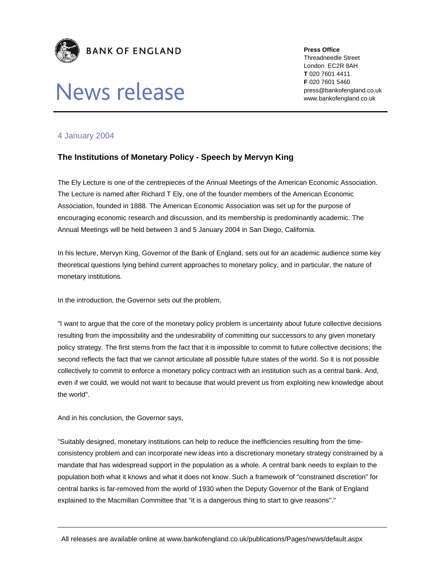

## News release

**Press Office** 

Threadneedle Street London EC2R 8AH **T** 020 7601 4411 **F** 020 7601 5460 press@bankofengland.co.uk www.bankofengland.co.uk

## 4 January 2004

## **The Institutions of Monetary Policy - Speech by Mervyn King**

The Ely Lecture is one of the centrepieces of the Annual Meetings of the American Economic Association. The Lecture is named after Richard T Ely, one of the founder members of the American Economic Association, founded in 1888. The American Economic Association was set up for the purpose of encouraging economic research and discussion, and its membership is predominantly academic. The Annual Meetings will be held between 3 and 5 January 2004 in San Diego, California.

In his lecture, Mervyn King, Governor of the Bank of England, sets out for an academic audience some key theoretical questions lying behind current approaches to monetary policy, and in particular, the nature of monetary institutions.

In the introduction, the Governor sets out the problem,

"I want to argue that the core of the monetary policy problem is uncertainty about future collective decisions resulting from the impossibility and the undesirability of committing our successors to any given monetary policy strategy. The first stems from the fact that it is impossible to commit to future collective decisions; the second reflects the fact that we cannot articulate all possible future states of the world. So it is not possible collectively to commit to enforce a monetary policy contract with an institution such as a central bank. And, even if we could, we would not want to because that would prevent us from exploiting new knowledge about the world".

And in his conclusion, the Governor says,

"Suitably designed, monetary institutions can help to reduce the inefficiencies resulting from the timeconsistency problem and can incorporate new ideas into a discretionary monetary strategy constrained by a mandate that has widespread support in the population as a whole. A central bank needs to explain to the population both what it knows and what it does not know. Such a framework of "constrained discretion" for central banks is far-removed from the world of 1930 when the Deputy Governor of the Bank of England explained to the Macmillan Committee that "it is a dangerous thing to start to give reasons"."